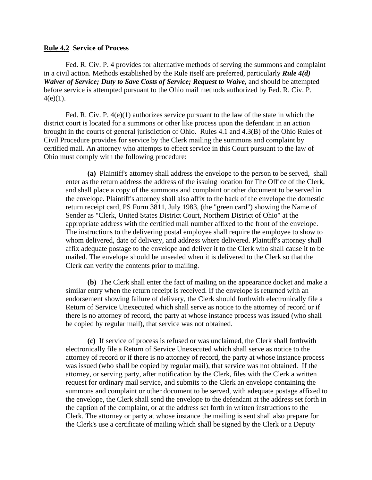## **Rule 4.2 Service of Process**

Fed. R. Civ. P. 4 provides for alternative methods of serving the summons and complaint in a civil action. Methods established by the Rule itself are preferred, particularly *Rule 4(d) Waiver of Service; Duty to Save Costs of Service; Request to Waive, and should be attempted* before service is attempted pursuant to the Ohio mail methods authorized by Fed. R. Civ. P.  $4(e)(1)$ .

Fed. R. Civ. P. 4(e)(1) authorizes service pursuant to the law of the state in which the district court is located for a summons or other like process upon the defendant in an action brought in the courts of general jurisdiction of Ohio. Rules 4.1 and 4.3(B) of the Ohio Rules of Civil Procedure provides for service by the Clerk mailing the summons and complaint by certified mail. An attorney who attempts to effect service in this Court pursuant to the law of Ohio must comply with the following procedure:

**(a)** Plaintiff's attorney shall address the envelope to the person to be served, shall enter as the return address the address of the issuing location for The Office of the Clerk, and shall place a copy of the summons and complaint or other document to be served in the envelope. Plaintiff's attorney shall also affix to the back of the envelope the domestic return receipt card, PS Form 3811, July 1983, (the "green card") showing the Name of Sender as "Clerk, United States District Court, Northern District of Ohio" at the appropriate address with the certified mail number affixed to the front of the envelope. The instructions to the delivering postal employee shall require the employee to show to whom delivered, date of delivery, and address where delivered. Plaintiff's attorney shall affix adequate postage to the envelope and deliver it to the Clerk who shall cause it to be mailed. The envelope should be unsealed when it is delivered to the Clerk so that the Clerk can verify the contents prior to mailing.

**(b)** The Clerk shall enter the fact of mailing on the appearance docket and make a similar entry when the return receipt is received. If the envelope is returned with an endorsement showing failure of delivery, the Clerk should forthwith electronically file a Return of Service Unexecuted which shall serve as notice to the attorney of record or if there is no attorney of record, the party at whose instance process was issued (who shall be copied by regular mail), that service was not obtained.

**(c)** If service of process is refused or was unclaimed, the Clerk shall forthwith electronically file a Return of Service Unexecuted which shall serve as notice to the attorney of record or if there is no attorney of record, the party at whose instance process was issued (who shall be copied by regular mail), that service was not obtained. If the attorney, or serving party, after notification by the Clerk, files with the Clerk a written request for ordinary mail service, and submits to the Clerk an envelope containing the summons and complaint or other document to be served, with adequate postage affixed to the envelope, the Clerk shall send the envelope to the defendant at the address set forth in the caption of the complaint, or at the address set forth in written instructions to the Clerk. The attorney or party at whose instance the mailing is sent shall also prepare for the Clerk's use a certificate of mailing which shall be signed by the Clerk or a Deputy